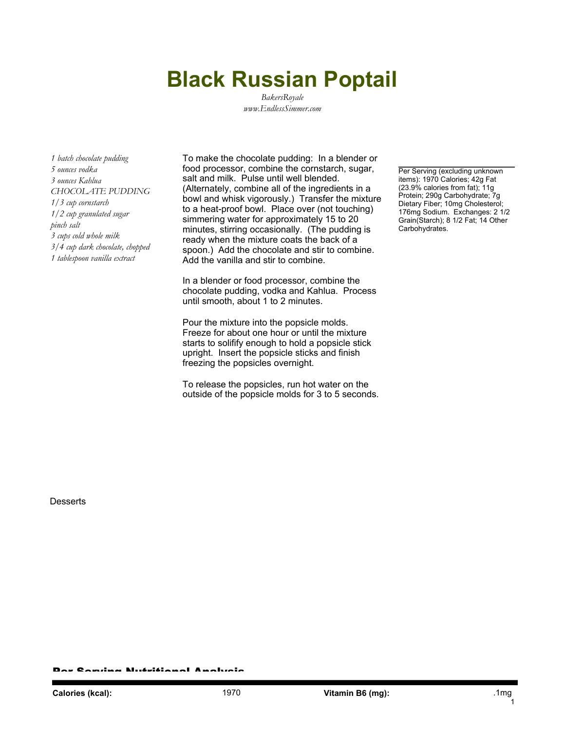## **Black Russian Poptail**

*BakersRoyale www.EndlessSimmer.com*

*1 batch chocolate pudding 5 ounces vodka 3 ounces Kahlua CHOCOLATE PUDDING 1/3 cup cornstarch 1/2 cup granulated sugar pinch salt 3 cups cold whole milk 3/4 cup dark chocolate, chopped 1 tablespoon vanilla extract*

To make the chocolate pudding: In a blender or food processor, combine the cornstarch, sugar, salt and milk. Pulse until well blended. (Alternately, combine all of the ingredients in a bowl and whisk vigorously.) Transfer the mixture to a heat-proof bowl. Place over (not touching) simmering water for approximately 15 to 20 minutes, stirring occasionally. (The pudding is ready when the mixture coats the back of a spoon.) Add the chocolate and stir to combine. Add the vanilla and stir to combine.

In a blender or food processor, combine the chocolate pudding, vodka and Kahlua. Process until smooth, about 1 to 2 minutes.

Pour the mixture into the popsicle molds. Freeze for about one hour or until the mixture starts to solifify enough to hold a popsicle stick upright. Insert the popsicle sticks and finish freezing the popsicles overnight.

To release the popsicles, run hot water on the outside of the popsicle molds for 3 to 5 seconds.

Per Serving (excluding unknown items): 1970 Calories; 42g Fat (23.9% calories from fat); 11g Protein; 290g Carbohydrate; 7g Dietary Fiber; 10mg Cholesterol; 176mg Sodium. Exchanges: 2 1/2 Grain(Starch); 8 1/2 Fat; 14 Other Carbohydrates.

**Desserts** 

r Candaa Nutritianal Analysis